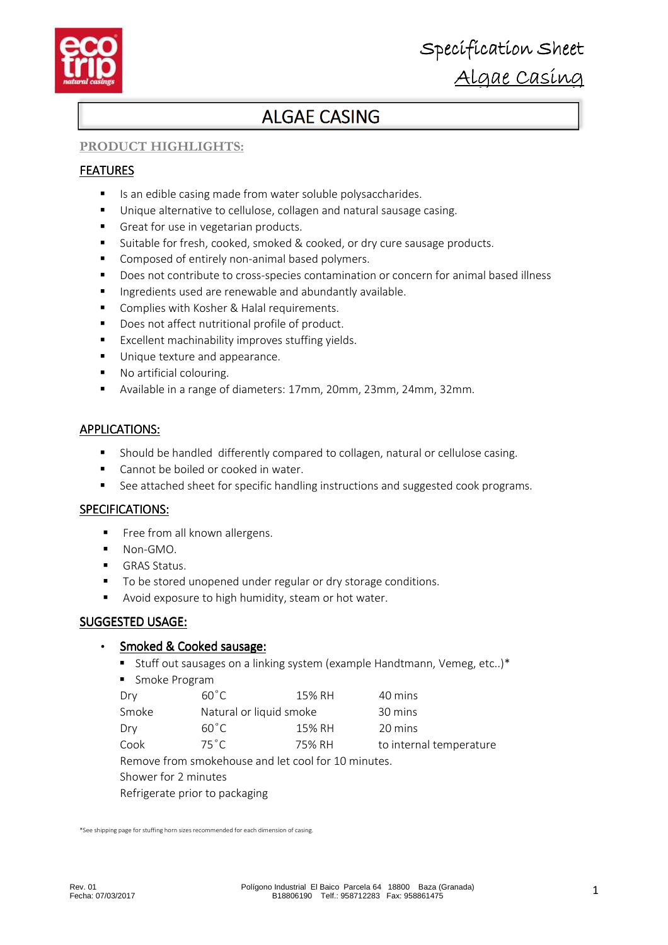

# **ALGAE CASING**

# **PRODUCT HIGHLIGHTS:**

# FEATURES

- Is an edible casing made from water soluble polysaccharides.
- Unique alternative to cellulose, collagen and natural sausage casing.
- Great for use in vegetarian products.
- Suitable for fresh, cooked, smoked & cooked, or dry cure sausage products.
- **Composed of entirely non-animal based polymers.**
- Does not contribute to cross-species contamination or concern for animal based illness
- **Ingredients used are renewable and abundantly available.**
- Complies with Kosher & Halal requirements.
- Does not affect nutritional profile of product.
- **EXCELLENT MACHINALIST EXCELLENT** Excellent machinability improves stuffing vields.
- **Unique texture and appearance.**
- No artificial colouring.
- Available in a range of diameters: 17mm, 20mm, 23mm, 24mm, 32mm.

# **APPLICATIONS:**

- Should be handled differently compared to collagen, natural or cellulose casing.
- Cannot be boiled or cooked in water.
- See attached sheet for specific handling instructions and suggested cook programs.

# SPECIFICATIONS:

- Free from all known allergens.
- $N_{\text{on-GMO}}$
- GRAS Status.
- To be stored unopened under regular or dry storage conditions.
- **Avoid exposure to high humidity, steam or hot water.**

### SUGGESTED USAGE:

# Smoked & Cooked sausage:

- Stuff out sausages on a linking system (example Handtmann, Vemeg, etc..)\*
- **Smoke Program**

| $60^{\circ}$ C | 15% RH | 40 mins                 |
|----------------|--------|-------------------------|
|                |        | 30 mins                 |
| $60^{\circ}$ C | 15% RH | 20 mins                 |
| $75^{\circ}$ C | 75% RH | to internal temperature |
|                |        | Natural or liquid smoke |

Remove from smokehouse and let cool for 10 minutes.

Shower for 2 minutes

Refrigerate prior to packaging

\*See shipping page for stuffing horn sizes recommended for each dimension of casing.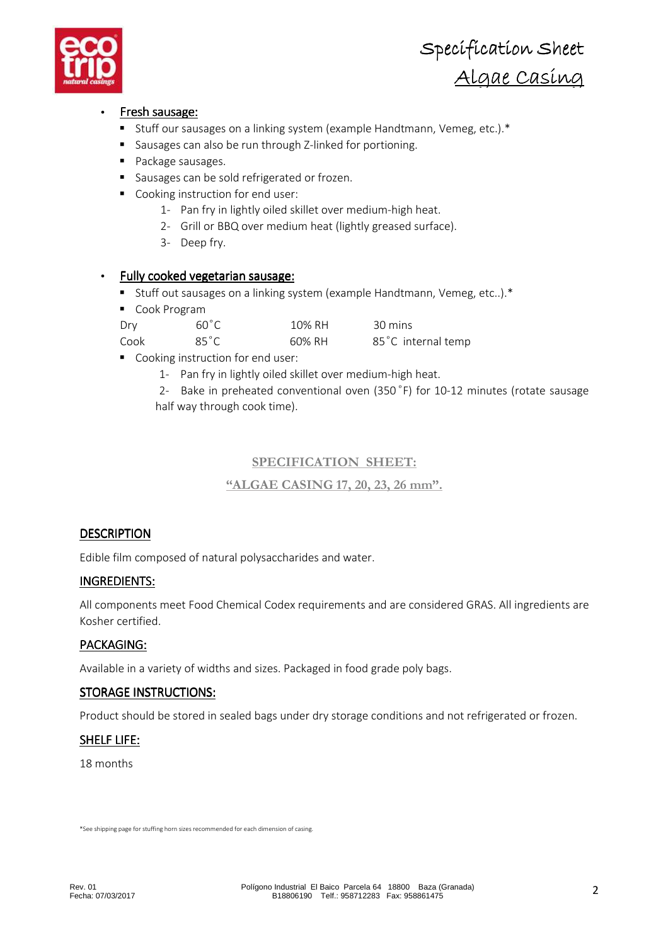

# Fresh sausage:

- Stuff our sausages on a linking system (example Handtmann, Vemeg, etc.).\*
- Sausages can also be run through Z-linked for portioning.
- **Package sausages.**
- sausages can be sold refrigerated or frozen.
- Cooking instruction for end user:
	- 1- Pan fry in lightly oiled skillet over medium-high heat.
	- 2- Grill or BBQ over medium heat (lightly greased surface).
	- 3- Deep fry.

# Fully cooked vegetarian sausage:

- Stuff out sausages on a linking system (example Handtmann, Vemeg, etc..).\*
- Cook Program

| Dry  | $60^{\circ}$ C | 10% RH | 30 mins            |
|------|----------------|--------|--------------------|
| Cook | $85^{\circ}$ C | 60% RH | 85°C internal temp |

- Cooking instruction for end user:
	- 1- Pan fry in lightly oiled skillet over medium-high heat.

2- Bake in preheated conventional oven (350°F) for 10-12 minutes (rotate sausage half way through cook time).

# **SPECIFICATION SHEET:**

**"ALGAE CASING 17, 20, 23, 26 mm".** 

# **DESCRIPTION**

Edible film composed of natural polysaccharides and water.

# INGREDIENTS:

All components meet Food Chemical Codex requirements and are considered GRAS. All ingredients are Kosher certified.

# PACKAGING:

Available in a variety of widths and sizes. Packaged in food grade poly bags.

# STORAGE INSTRUCTIONS:

Product should be stored in sealed bags under dry storage conditions and not refrigerated or frozen.

# SHELF LIFE:

18 months

\*See shipping page for stuffing horn sizes recommended for each dimension of casing.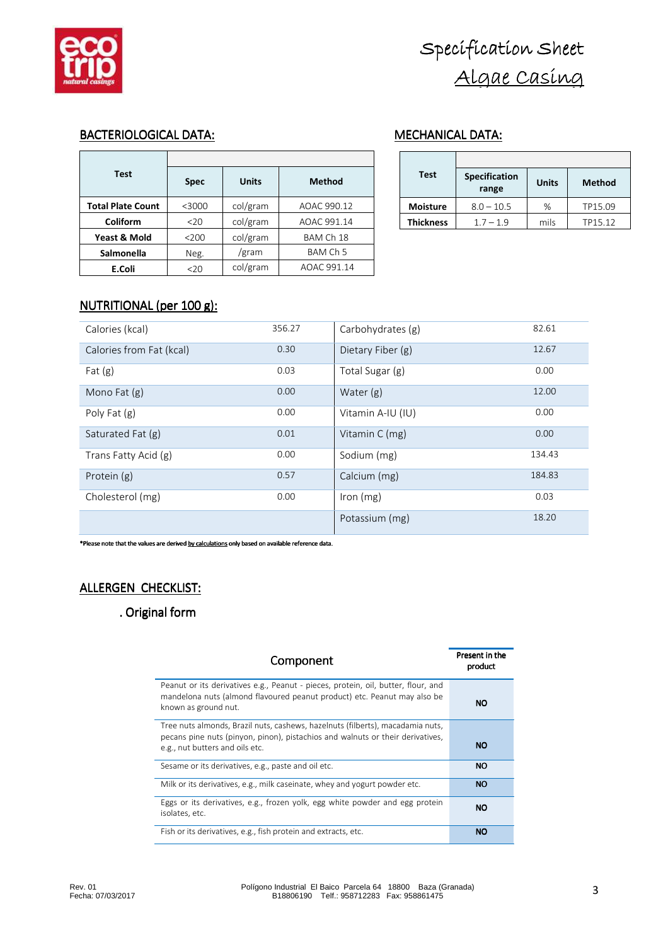

# BACTERIOLOGICAL DATA: MECHANICAL DATA:

| <b>Test</b>              | <b>Spec</b> | <b>Units</b> | <b>Method</b> |  |
|--------------------------|-------------|--------------|---------------|--|
| <b>Total Plate Count</b> | $<$ 3000    | col/gram     | AOAC 990.12   |  |
| Coliform                 | 20          | col/gram     | AOAC 991.14   |  |
| Yeast & Mold             | < 200       | col/gram     | BAM Ch 18     |  |
| <b>Salmonella</b>        | Neg.        | /gram        | BAM Ch 5      |  |
| E.Coli                   | $20$        | col/gram     | AOAC 991.14   |  |

| Test             | <b>Specification</b><br>range | <b>Units</b> | <b>Method</b> |
|------------------|-------------------------------|--------------|---------------|
| <b>Moisture</b>  | $8.0 - 10.5$                  | ℅            | TP15.09       |
| <b>Thickness</b> | $1.7 - 1.9$                   | mils         | TP15.12       |

# NUTRITIONAL (per 100 g):

| Calories (kcal)          | 356.27 | Carbohydrates (g) | 82.61  |
|--------------------------|--------|-------------------|--------|
| Calories from Fat (kcal) | 0.30   | Dietary Fiber (g) | 12.67  |
| Fat $(g)$                | 0.03   | Total Sugar (g)   | 0.00   |
| Mono Fat (g)             | 0.00   | Water $(g)$       | 12.00  |
| Poly Fat $(g)$           | 0.00   | Vitamin A-IU (IU) | 0.00   |
| Saturated Fat (g)        | 0.01   | Vitamin C (mg)    | 0.00   |
| Trans Fatty Acid (g)     | 0.00   | Sodium (mg)       | 134.43 |
| Protein (g)              | 0.57   | Calcium (mg)      | 184.83 |
| Cholesterol (mg)         | 0.00   | Iron $(mg)$       | 0.03   |
|                          |        | Potassium (mg)    | 18.20  |

\*Please note that the values are derived by calculations only based on available reference data.

# ALLERGEN CHECKLIST:

# . Original form

| Component                                                                                                                                                                                           | Present in the<br>product |
|-----------------------------------------------------------------------------------------------------------------------------------------------------------------------------------------------------|---------------------------|
| Peanut or its derivatives e.g., Peanut - pieces, protein, oil, butter, flour, and<br>mandelona nuts (almond flavoured peanut product) etc. Peanut may also be<br>known as ground nut.               | <b>NO</b>                 |
| Tree nuts almonds, Brazil nuts, cashews, hazelnuts (filberts), macadamia nuts,<br>pecans pine nuts (pinyon, pinon), pistachios and walnuts or their derivatives,<br>e.g., nut butters and oils etc. | <b>NO</b>                 |
| Sesame or its derivatives, e.g., paste and oil etc.                                                                                                                                                 | <b>NO</b>                 |
| Milk or its derivatives, e.g., milk caseinate, whey and yogurt powder etc.                                                                                                                          | <b>NO</b>                 |
| Eggs or its derivatives, e.g., frozen yolk, egg white powder and egg protein<br>isolates, etc.                                                                                                      | <b>NO</b>                 |
| Fish or its derivatives, e.g., fish protein and extracts, etc.                                                                                                                                      | <b>NO</b>                 |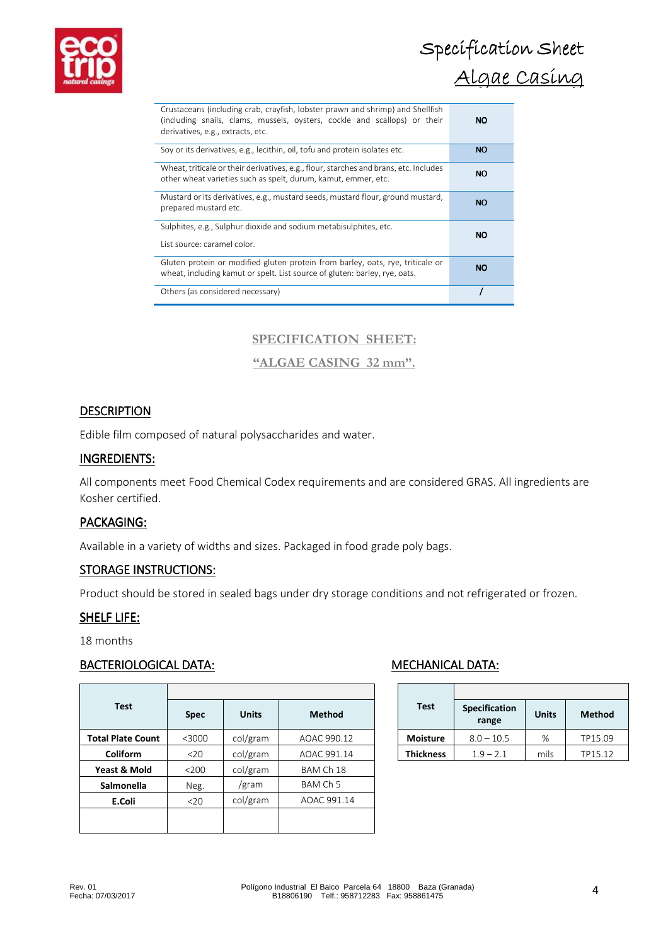

| Crustaceans (including crab, crayfish, lobster prawn and shrimp) and Shellfish<br>(including snails, clams, mussels, oysters, cockle and scallops) or their<br>derivatives, e.g., extracts, etc. | NO.       |
|--------------------------------------------------------------------------------------------------------------------------------------------------------------------------------------------------|-----------|
| Soy or its derivatives, e.g., lecithin, oil, tofu and protein isolates etc.                                                                                                                      | <b>NO</b> |
| Wheat, triticale or their derivatives, e.g., flour, starches and brans, etc. Includes<br>other wheat varieties such as spelt, durum, kamut, emmer, etc.                                          | NO.       |
| Mustard or its derivatives, e.g., mustard seeds, mustard flour, ground mustard,<br>prepared mustard etc.                                                                                         | <b>NO</b> |
| Sulphites, e.g., Sulphur dioxide and sodium metabisulphites, etc.<br>List source: caramel color.                                                                                                 | NO.       |
| Gluten protein or modified gluten protein from barley, oats, rye, triticale or<br>wheat, including kamut or spelt. List source of gluten: barley, rye, oats.                                     | <b>NO</b> |
| Others (as considered necessary)                                                                                                                                                                 |           |

# **SPECIFICATION SHEET:**

# **"ALGAE CASING 32 mm".**

### **DESCRIPTION**

Edible film composed of natural polysaccharides and water.

### INGREDIENTS:

All components meet Food Chemical Codex requirements and are considered GRAS. All ingredients are Kosher certified.

### PACKAGING:

Available in a variety of widths and sizes. Packaged in food grade poly bags.

### STORAGE INSTRUCTIONS:

Product should be stored in sealed bags under dry storage conditions and not refrigerated or frozen.

### SHELF LIFE:

18 months

### BACTERIOLOGICAL DATA: MECHANICAL DATA:

| <b>Test</b>              | <b>Spec</b> | <b>Units</b> | <b>Method</b> |  |
|--------------------------|-------------|--------------|---------------|--|
| <b>Total Plate Count</b> | $<$ 3000    | col/gram     | AOAC 990.12   |  |
| Coliform                 | 20          | col/gram     | AOAC 991.14   |  |
| Yeast & Mold             | 200         | col/gram     | BAM Ch 18     |  |
| <b>Salmonella</b>        | Neg.        | /gram        | BAM Ch 5      |  |
| E.Coli                   | $20$        | col/gram     | AOAC 991.14   |  |
|                          |             |              |               |  |
|                          |             |              |               |  |

| <b>Test</b>      | <b>Specification</b><br>range | <b>Units</b> | <b>Method</b> |
|------------------|-------------------------------|--------------|---------------|
| <b>Moisture</b>  | $8.0 - 10.5$                  | ℅            | TP15.09       |
| <b>Thickness</b> | $1.9 - 2.1$                   | mils         | TP15.12       |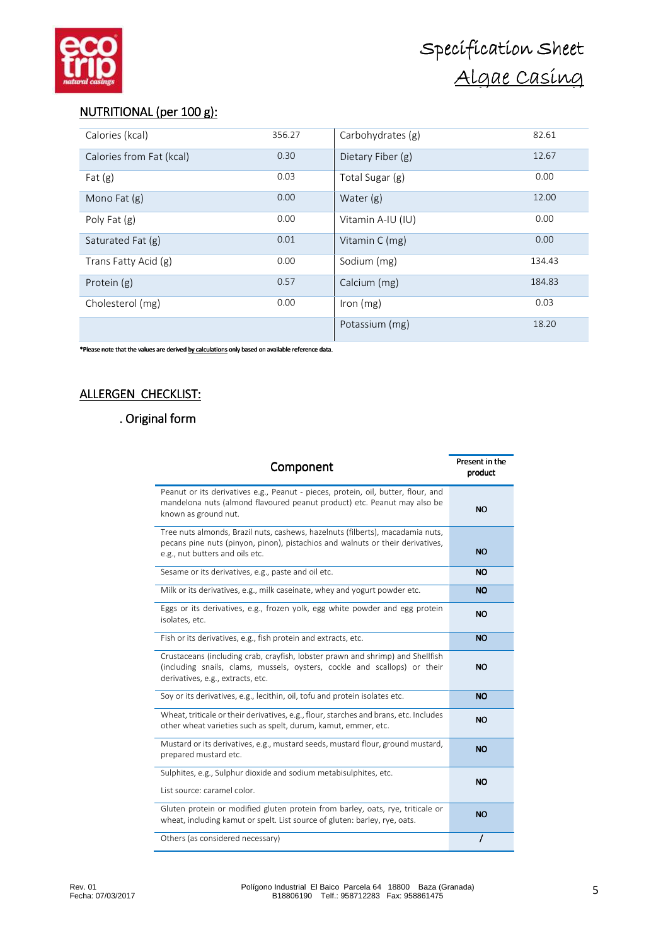# NUTRITIONAL (per 100 g):

| Calories (kcal)          | 356.27 | Carbohydrates (g) | 82.61  |
|--------------------------|--------|-------------------|--------|
| Calories from Fat (kcal) | 0.30   | Dietary Fiber (g) | 12.67  |
| Fat $(g)$                | 0.03   | Total Sugar (g)   | 0.00   |
| Mono Fat (g)             | 0.00   | Water $(g)$       | 12.00  |
| Poly Fat (g)             | 0.00   | Vitamin A-IU (IU) | 0.00   |
| Saturated Fat (g)        | 0.01   | Vitamin C (mg)    | 0.00   |
| Trans Fatty Acid (g)     | 0.00   | Sodium (mg)       | 134.43 |
| Protein (g)              | 0.57   | Calcium (mg)      | 184.83 |
| Cholesterol (mg)         | 0.00   | Iron $(mg)$       | 0.03   |
|                          |        | Potassium (mg)    | 18.20  |

\*Please note that the values are derived by calculations only based on available reference data.

# ALLERGEN CHECKLIST:

# . Original form

| Component                                                                                                                                                                                           | Present in the<br>product |
|-----------------------------------------------------------------------------------------------------------------------------------------------------------------------------------------------------|---------------------------|
| Peanut or its derivatives e.g., Peanut - pieces, protein, oil, butter, flour, and<br>mandelona nuts (almond flavoured peanut product) etc. Peanut may also be<br>known as ground nut.               | <b>NO</b>                 |
| Tree nuts almonds, Brazil nuts, cashews, hazelnuts (filberts), macadamia nuts,<br>pecans pine nuts (pinyon, pinon), pistachios and walnuts or their derivatives,<br>e.g., nut butters and oils etc. | <b>NO</b>                 |
| Sesame or its derivatives, e.g., paste and oil etc.                                                                                                                                                 | <b>NO</b>                 |
| Milk or its derivatives, e.g., milk caseinate, whey and yogurt powder etc.                                                                                                                          | <b>NO</b>                 |
| Eggs or its derivatives, e.g., frozen yolk, egg white powder and egg protein<br>isolates, etc.                                                                                                      | <b>NO</b>                 |
| Fish or its derivatives, e.g., fish protein and extracts, etc.                                                                                                                                      | <b>NO</b>                 |
| Crustaceans (including crab, crayfish, lobster prawn and shrimp) and Shellfish<br>(including snails, clams, mussels, oysters, cockle and scallops) or their<br>derivatives, e.g., extracts, etc.    | <b>NO</b>                 |
| Soy or its derivatives, e.g., lecithin, oil, tofu and protein isolates etc.                                                                                                                         | <b>NO</b>                 |
| Wheat, triticale or their derivatives, e.g., flour, starches and brans, etc. Includes<br>other wheat varieties such as spelt, durum, kamut, emmer, etc.                                             | <b>NO</b>                 |
| Mustard or its derivatives, e.g., mustard seeds, mustard flour, ground mustard,<br>prepared mustard etc.                                                                                            | <b>NO</b>                 |
| Sulphites, e.g., Sulphur dioxide and sodium metabisulphites, etc.                                                                                                                                   | <b>NO</b>                 |
| List source: caramel color.                                                                                                                                                                         |                           |
| Gluten protein or modified gluten protein from barley, oats, rye, triticale or<br>wheat, including kamut or spelt. List source of gluten: barley, rye, oats.                                        | <b>NO</b>                 |
| Others (as considered necessary)                                                                                                                                                                    |                           |